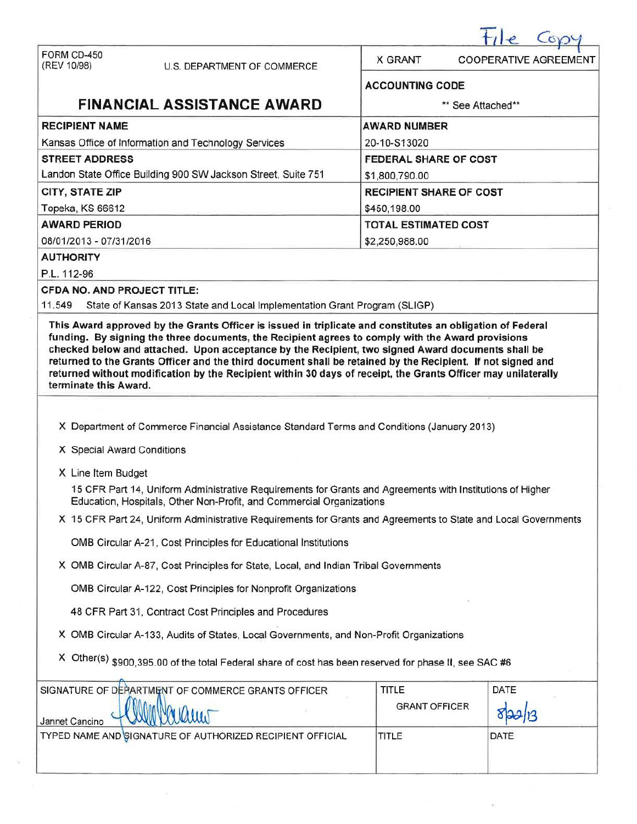| FORM CD-450<br>(REV 10/98)<br>U.S. DEPARTMENT OF COMMERCE                                                                                                                                                                                                                                                                                                  | <b>X GRANT</b>                 | <b>COOPERATIVE AGREEMENT</b> |  |  |  |  |
|------------------------------------------------------------------------------------------------------------------------------------------------------------------------------------------------------------------------------------------------------------------------------------------------------------------------------------------------------------|--------------------------------|------------------------------|--|--|--|--|
|                                                                                                                                                                                                                                                                                                                                                            | <b>ACCOUNTING CODE</b>         |                              |  |  |  |  |
| <b>FINANCIAL ASSISTANCE AWARD</b>                                                                                                                                                                                                                                                                                                                          | ** See Attached**              |                              |  |  |  |  |
| <b>RECIPIENT NAME</b>                                                                                                                                                                                                                                                                                                                                      | <b>AWARD NUMBER</b>            |                              |  |  |  |  |
| Kansas Office of Information and Technology Services                                                                                                                                                                                                                                                                                                       | 20-10-S13020                   |                              |  |  |  |  |
| <b>STREET ADDRESS</b>                                                                                                                                                                                                                                                                                                                                      | <b>FEDERAL SHARE OF COST</b>   |                              |  |  |  |  |
| Landon State Office Building 900 SW Jackson Street, Suite 751                                                                                                                                                                                                                                                                                              | \$1,800,790.00                 |                              |  |  |  |  |
| CITY, STATE ZIP                                                                                                                                                                                                                                                                                                                                            | <b>RECIPIENT SHARE OF COST</b> |                              |  |  |  |  |
| Topeka, KS 66612                                                                                                                                                                                                                                                                                                                                           | \$450,198.00                   |                              |  |  |  |  |
| <b>AWARD PERIOD</b>                                                                                                                                                                                                                                                                                                                                        | <b>TOTAL ESTIMATED COST</b>    |                              |  |  |  |  |
| 08/01/2013 - 07/31/2016                                                                                                                                                                                                                                                                                                                                    | \$2,250,988.00                 |                              |  |  |  |  |
| <b>AUTHORITY</b>                                                                                                                                                                                                                                                                                                                                           |                                |                              |  |  |  |  |
| P.L. 112-96                                                                                                                                                                                                                                                                                                                                                |                                |                              |  |  |  |  |
| <b>CFDA NO. AND PROJECT TITLE:</b>                                                                                                                                                                                                                                                                                                                         |                                |                              |  |  |  |  |
| 11.549<br>State of Kansas 2013 State and Local Implementation Grant Program (SLIGP)                                                                                                                                                                                                                                                                        |                                |                              |  |  |  |  |
| checked below and attached. Upon acceptance by the Recipient, two signed Award documents shall be<br>returned to the Grants Officer and the third document shall be retained by the Recipient. If not signed and<br>returned without modification by the Recipient within 30 days of receipt, the Grants Officer may unilaterally<br>terminate this Award. |                                |                              |  |  |  |  |
| X Department of Commerce Financial Assistance Standard Terms and Conditions (January 2013)<br>X Special Award Conditions                                                                                                                                                                                                                                   |                                |                              |  |  |  |  |
| X Line Item Budget                                                                                                                                                                                                                                                                                                                                         |                                |                              |  |  |  |  |
| 15 CFR Part 14, Uniform Administrative Requirements for Grants and Agreements with Institutions of Higher<br>Education, Hospitals, Other Non-Profit, and Commercial Organizations                                                                                                                                                                          |                                |                              |  |  |  |  |
| X 15 CFR Part 24, Uniform Administrative Requirements for Grants and Agreements to State and Local Governments                                                                                                                                                                                                                                             |                                |                              |  |  |  |  |
| OMB Circular A-21, Cost Principles for Educational Institutions                                                                                                                                                                                                                                                                                            |                                |                              |  |  |  |  |
| X OMB Circular A-87, Cost Principles for State, Local, and Indian Tribal Governments                                                                                                                                                                                                                                                                       |                                |                              |  |  |  |  |
| OMB Circular A-122, Cost Principles for Nonprofit Organizations                                                                                                                                                                                                                                                                                            |                                |                              |  |  |  |  |
| 48 CFR Part 31, Contract Cost Principles and Procedures                                                                                                                                                                                                                                                                                                    |                                |                              |  |  |  |  |
| X OMB Circular A-133, Audits of States, Local Governments, and Non-Profit Organizations                                                                                                                                                                                                                                                                    |                                |                              |  |  |  |  |
| X Other(s) \$900,395.00 of the total Federal share of cost has been reserved for phase II, see SAC #6                                                                                                                                                                                                                                                      |                                |                              |  |  |  |  |
| SIGNATURE OF DEPARTMENT OF COMMERCE GRANTS OFFICER                                                                                                                                                                                                                                                                                                         | <b>TITLE</b>                   | DATE                         |  |  |  |  |
| duw<br>Jannet Cancino                                                                                                                                                                                                                                                                                                                                      | <b>GRANT OFFICER</b>           |                              |  |  |  |  |
| TYPED NAME AND SIGNATURE OF AUTHORIZED RECIPIENT OFFICIAL                                                                                                                                                                                                                                                                                                  | TITLE                          | DATE                         |  |  |  |  |
|                                                                                                                                                                                                                                                                                                                                                            |                                |                              |  |  |  |  |